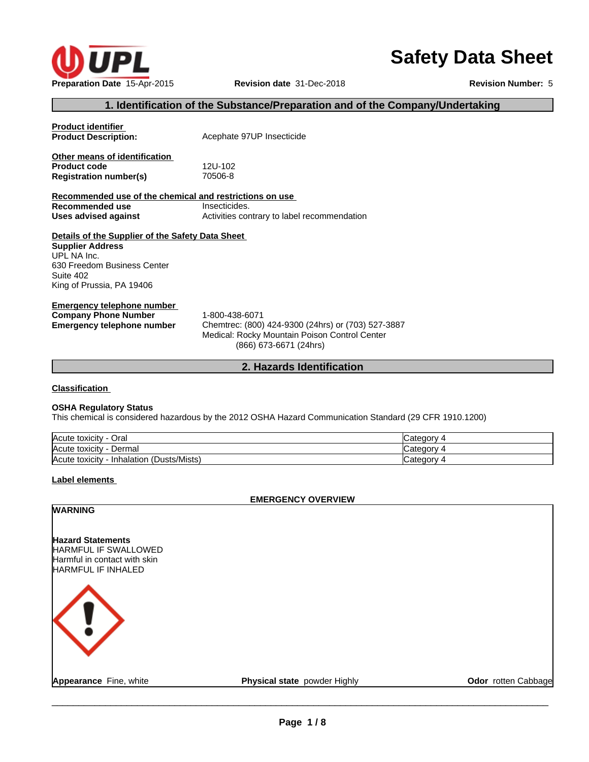

# **Safety Data Sheet**

## **1. Identification of the Substance/Preparation and of the Company/Undertaking**

| <b>Product identifier</b><br><b>Product Description:</b>                                                                                                            | Acephate 97UP Insecticide                                    |
|---------------------------------------------------------------------------------------------------------------------------------------------------------------------|--------------------------------------------------------------|
| Other means of identification<br><b>Product code</b><br><b>Registration number(s)</b>                                                                               | 12U-102<br>70506-8                                           |
| Recommended use of the chemical and restrictions on use<br>Recommended use<br>Uses advised against                                                                  | Insecticides.<br>Activities contrary to label recommendation |
| Details of the Supplier of the Safety Data Sheet<br><b>Supplier Address</b><br>UPL NA Inc.<br>630 Freedom Business Center<br>Suite 402<br>King of Prussia, PA 19406 |                                                              |
|                                                                                                                                                                     |                                                              |

**Emergency telephone number Company Phone Number** 1-800-438-6071 **Emergency telephone number** Chemtrec: (800) 424-9300 (24hrs) or (703) 527-3887

Medical: Rocky Mountain Poison Control Center (866) 673-6671 (24hrs)

## **2. Hazards Identification**

**Classification**

## **OSHA Regulatory Status**

This chemical is considered hazardous by the 2012 OSHA Hazard Communication Standard (29 CFR 1910.1200)

| ∽<br>Acute toxicity<br>Oral                   | Categor                 |
|-----------------------------------------------|-------------------------|
| Acute toxicity<br>Dermal                      | ,,,, <b>,</b><br>valcuu |
| (Dusts/Mists)<br>Acute toxicity<br>Inhalation | ∵ategorv                |

#### **Label elements**

#### **EMERGENCY OVERVIEW**

## **WARNING**

**Hazard Statements** HARMFUL IF SWALLOWED Harmful in contact with skin HARMFUL IF INHALED

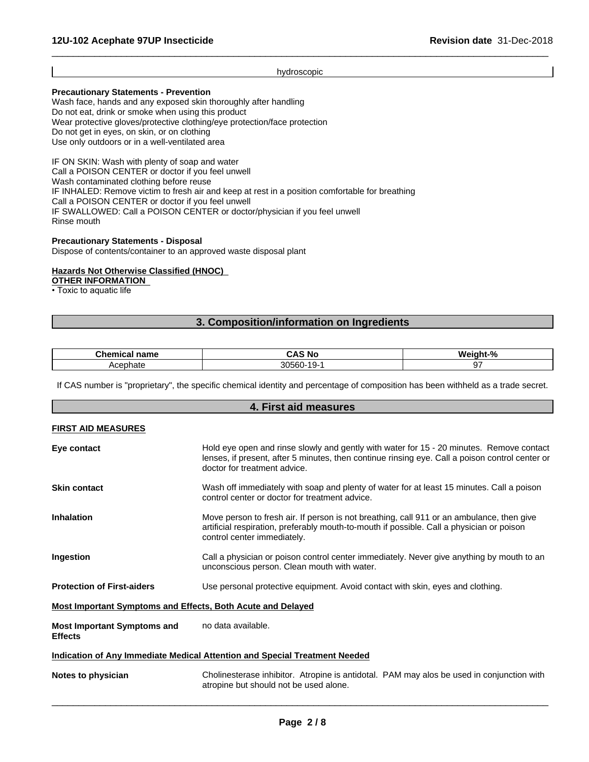#### hydroscopic

 $\overline{\phantom{a}}$  ,  $\overline{\phantom{a}}$  ,  $\overline{\phantom{a}}$  ,  $\overline{\phantom{a}}$  ,  $\overline{\phantom{a}}$  ,  $\overline{\phantom{a}}$  ,  $\overline{\phantom{a}}$  ,  $\overline{\phantom{a}}$  ,  $\overline{\phantom{a}}$  ,  $\overline{\phantom{a}}$  ,  $\overline{\phantom{a}}$  ,  $\overline{\phantom{a}}$  ,  $\overline{\phantom{a}}$  ,  $\overline{\phantom{a}}$  ,  $\overline{\phantom{a}}$  ,  $\overline{\phantom{a}}$ 

### **Precautionary Statements - Prevention**

Wash face, hands and any exposed skin thoroughly after handling Do not eat, drink or smoke when using this product Wear protective gloves/protective clothing/eye protection/face protection Do not get in eyes, on skin, or on clothing Use only outdoors or in a well-ventilated area

IF ON SKIN: Wash with plenty of soap and water Call a POISON CENTER or doctor if you feel unwell Wash contaminated clothing before reuse IF INHALED: Remove victim to fresh air and keep at rest in a position comfortable for breathing Call a POISON CENTER or doctor if you feel unwell IF SWALLOWED: Call a POISON CENTER or doctor/physician if you feel unwell Rinse mouth

#### **Precautionary Statements - Disposal**

Dispose of contents/container to an approved waste disposal plant

#### **Hazards Not Otherwise Classified (HNOC)**

**OTHER INFORMATION**

• Toxic to aquatic life

## **3. Composition/information on Ingredients**

| --<br>- - -- -<br>--<br>iallit<br>. | .No                                       | О.<br>.<br>m |
|-------------------------------------|-------------------------------------------|--------------|
| `≏ephate<br>ַיר                     | 20F<br>- ^ ^<br>ч.<br>יי<br>uu<br>$\cdot$ |              |

If CAS number is "proprietary", the specific chemical identity and percentage of composition has been withheld as a trade secret.

# **4. First aid measures FIRST AID MEASURES Eye contact** Hold eye open and rinse slowly and gently with water for 15 - 20 minutes. Remove contact lenses, if present, after 5 minutes, then continue rinsing eye. Call a poison control center or doctor for treatment advice. **Skin contact** Wash off immediately with soap and plenty of water for at least 15 minutes. Call a poison control center or doctor for treatment advice. **Inhalation** Move person to fresh air. If person is not breathing, call 911 or an ambulance, then give artificial respiration, preferably mouth-to-mouth if possible. Call a physician or poison control center immediately. **Ingestion** Call a physician or poison control center immediately. Never give anything by mouth to an unconscious person. Clean mouth with water. **Protection of First-aiders** Use personal protective equipment. Avoid contact with skin, eyes and clothing. **Most Important Symptoms and Effects, Both Acute and Delayed Most Important Symptoms and Effects** no data available. **Indication of Any Immediate Medical Attention and Special Treatment Needed Notes to physician Example 20** Cholinesterase inhibitor. Atropine is antidotal. PAM may alos be used in conjunction with atropine but should not be used alone.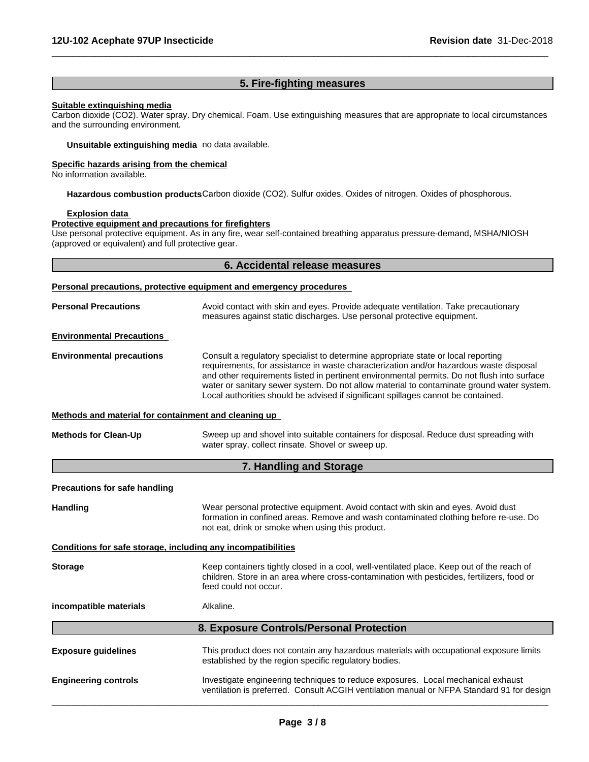## **5. Fire-fighting measures**

 $\overline{\phantom{a}}$  ,  $\overline{\phantom{a}}$  ,  $\overline{\phantom{a}}$  ,  $\overline{\phantom{a}}$  ,  $\overline{\phantom{a}}$  ,  $\overline{\phantom{a}}$  ,  $\overline{\phantom{a}}$  ,  $\overline{\phantom{a}}$  ,  $\overline{\phantom{a}}$  ,  $\overline{\phantom{a}}$  ,  $\overline{\phantom{a}}$  ,  $\overline{\phantom{a}}$  ,  $\overline{\phantom{a}}$  ,  $\overline{\phantom{a}}$  ,  $\overline{\phantom{a}}$  ,  $\overline{\phantom{a}}$ 

## **Suitable extinguishing media**

Carbon dioxide (CO2). Water spray. Dry chemical. Foam. Use extinguishing measures that are appropriate to local circumstances and the surrounding environment.

**Unsuitable extinguishing media** no data available.

#### **Specific hazards arising from the chemical**

No information available.

**Hazardous combustion products**Carbon dioxide (CO2). Sulfur oxides. Oxides of nitrogen. Oxides of phosphorous.

### **Explosion data**

### **Protective equipment and precautions for firefighters**

Use personal protective equipment. As in any fire, wear self-contained breathing apparatus pressure-demand, MSHA/NIOSH (approved or equivalent) and full protective gear.

## **6. Accidental release measures**

| <b>Personal Precautions</b><br>Avoid contact with skin and eyes. Provide adequate ventilation. Take precautionary<br>measures against static discharges. Use personal protective equipment.<br><b>Environmental Precautions</b><br><b>Environmental precautions</b><br>Consult a regulatory specialist to determine appropriate state or local reporting<br>requirements, for assistance in waste characterization and/or hazardous waste disposal<br>and other requirements listed in pertinent environmental permits. Do not flush into surface<br>water or sanitary sewer system. Do not allow material to contaminate ground water system.<br>Local authorities should be advised if significant spillages cannot be contained.<br>Methods and material for containment and cleaning up<br><b>Methods for Clean-Up</b><br>Sweep up and shovel into suitable containers for disposal. Reduce dust spreading with<br>water spray, collect rinsate. Shovel or sweep up.<br>7. Handling and Storage<br><b>Precautions for safe handling</b><br><b>Handling</b><br>Wear personal protective equipment. Avoid contact with skin and eyes. Avoid dust<br>formation in confined areas. Remove and wash contaminated clothing before re-use. Do<br>not eat, drink or smoke when using this product.<br>Conditions for safe storage, including any incompatibilities<br>Keep containers tightly closed in a cool, well-ventilated place. Keep out of the reach of<br><b>Storage</b><br>children. Store in an area where cross-contamination with pesticides, fertilizers, food or<br>feed could not occur. |
|------------------------------------------------------------------------------------------------------------------------------------------------------------------------------------------------------------------------------------------------------------------------------------------------------------------------------------------------------------------------------------------------------------------------------------------------------------------------------------------------------------------------------------------------------------------------------------------------------------------------------------------------------------------------------------------------------------------------------------------------------------------------------------------------------------------------------------------------------------------------------------------------------------------------------------------------------------------------------------------------------------------------------------------------------------------------------------------------------------------------------------------------------------------------------------------------------------------------------------------------------------------------------------------------------------------------------------------------------------------------------------------------------------------------------------------------------------------------------------------------------------------------------------------------------------------------------------------------------|
|                                                                                                                                                                                                                                                                                                                                                                                                                                                                                                                                                                                                                                                                                                                                                                                                                                                                                                                                                                                                                                                                                                                                                                                                                                                                                                                                                                                                                                                                                                                                                                                                      |
|                                                                                                                                                                                                                                                                                                                                                                                                                                                                                                                                                                                                                                                                                                                                                                                                                                                                                                                                                                                                                                                                                                                                                                                                                                                                                                                                                                                                                                                                                                                                                                                                      |
|                                                                                                                                                                                                                                                                                                                                                                                                                                                                                                                                                                                                                                                                                                                                                                                                                                                                                                                                                                                                                                                                                                                                                                                                                                                                                                                                                                                                                                                                                                                                                                                                      |
|                                                                                                                                                                                                                                                                                                                                                                                                                                                                                                                                                                                                                                                                                                                                                                                                                                                                                                                                                                                                                                                                                                                                                                                                                                                                                                                                                                                                                                                                                                                                                                                                      |
|                                                                                                                                                                                                                                                                                                                                                                                                                                                                                                                                                                                                                                                                                                                                                                                                                                                                                                                                                                                                                                                                                                                                                                                                                                                                                                                                                                                                                                                                                                                                                                                                      |
|                                                                                                                                                                                                                                                                                                                                                                                                                                                                                                                                                                                                                                                                                                                                                                                                                                                                                                                                                                                                                                                                                                                                                                                                                                                                                                                                                                                                                                                                                                                                                                                                      |
|                                                                                                                                                                                                                                                                                                                                                                                                                                                                                                                                                                                                                                                                                                                                                                                                                                                                                                                                                                                                                                                                                                                                                                                                                                                                                                                                                                                                                                                                                                                                                                                                      |
|                                                                                                                                                                                                                                                                                                                                                                                                                                                                                                                                                                                                                                                                                                                                                                                                                                                                                                                                                                                                                                                                                                                                                                                                                                                                                                                                                                                                                                                                                                                                                                                                      |
|                                                                                                                                                                                                                                                                                                                                                                                                                                                                                                                                                                                                                                                                                                                                                                                                                                                                                                                                                                                                                                                                                                                                                                                                                                                                                                                                                                                                                                                                                                                                                                                                      |
|                                                                                                                                                                                                                                                                                                                                                                                                                                                                                                                                                                                                                                                                                                                                                                                                                                                                                                                                                                                                                                                                                                                                                                                                                                                                                                                                                                                                                                                                                                                                                                                                      |
| incompatible materials<br>Alkaline.                                                                                                                                                                                                                                                                                                                                                                                                                                                                                                                                                                                                                                                                                                                                                                                                                                                                                                                                                                                                                                                                                                                                                                                                                                                                                                                                                                                                                                                                                                                                                                  |
| 8. Exposure Controls/Personal Protection                                                                                                                                                                                                                                                                                                                                                                                                                                                                                                                                                                                                                                                                                                                                                                                                                                                                                                                                                                                                                                                                                                                                                                                                                                                                                                                                                                                                                                                                                                                                                             |
| <b>Exposure guidelines</b><br>This product does not contain any hazardous materials with occupational exposure limits<br>established by the region specific regulatory bodies.                                                                                                                                                                                                                                                                                                                                                                                                                                                                                                                                                                                                                                                                                                                                                                                                                                                                                                                                                                                                                                                                                                                                                                                                                                                                                                                                                                                                                       |
| Investigate engineering techniques to reduce exposures. Local mechanical exhaust<br><b>Engineering controls</b><br>ventilation is preferred. Consult ACGIH ventilation manual or NFPA Standard 91 for design                                                                                                                                                                                                                                                                                                                                                                                                                                                                                                                                                                                                                                                                                                                                                                                                                                                                                                                                                                                                                                                                                                                                                                                                                                                                                                                                                                                         |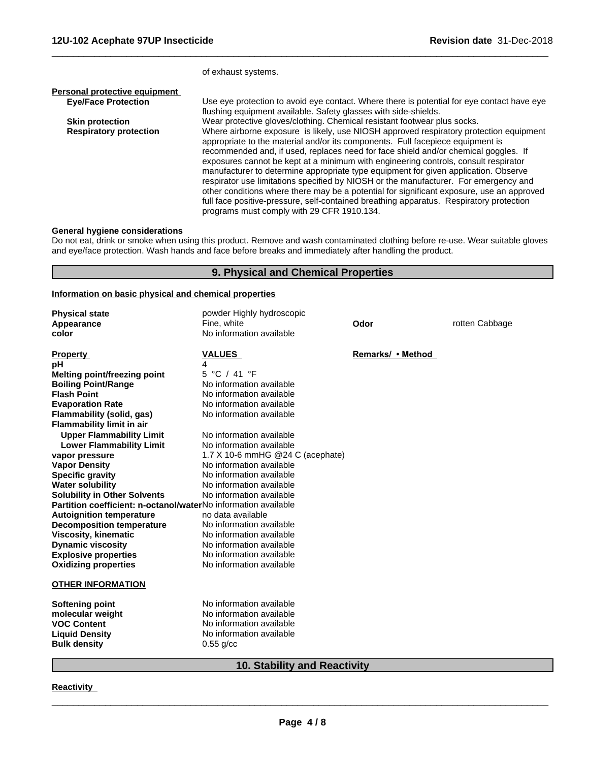|                               | of exhaust systems.                                                                                                                                                                                                                                                                                                                                                                                                                                                                                                                                                                                                                                                                                                                                                         |
|-------------------------------|-----------------------------------------------------------------------------------------------------------------------------------------------------------------------------------------------------------------------------------------------------------------------------------------------------------------------------------------------------------------------------------------------------------------------------------------------------------------------------------------------------------------------------------------------------------------------------------------------------------------------------------------------------------------------------------------------------------------------------------------------------------------------------|
| Personal protective equipment |                                                                                                                                                                                                                                                                                                                                                                                                                                                                                                                                                                                                                                                                                                                                                                             |
| <b>Eye/Face Protection</b>    | Use eye protection to avoid eye contact. Where there is potential for eye contact have eye<br>flushing equipment available. Safety glasses with side-shields.                                                                                                                                                                                                                                                                                                                                                                                                                                                                                                                                                                                                               |
| <b>Skin protection</b>        | Wear protective gloves/clothing. Chemical resistant footwear plus socks.                                                                                                                                                                                                                                                                                                                                                                                                                                                                                                                                                                                                                                                                                                    |
| <b>Respiratory protection</b> | Where airborne exposure is likely, use NIOSH approved respiratory protection equipment<br>appropriate to the material and/or its components. Full facepiece equipment is<br>recommended and, if used, replaces need for face shield and/or chemical goggles. If<br>exposures cannot be kept at a minimum with engineering controls, consult respirator<br>manufacturer to determine appropriate type equipment for given application. Observe<br>respirator use limitations specified by NIOSH or the manufacturer. For emergency and<br>other conditions where there may be a potential for significant exposure, use an approved<br>full face positive-pressure, self-contained breathing apparatus. Respiratory protection<br>programs must comply with 29 CFR 1910.134. |

 $\overline{\phantom{a}}$  ,  $\overline{\phantom{a}}$  ,  $\overline{\phantom{a}}$  ,  $\overline{\phantom{a}}$  ,  $\overline{\phantom{a}}$  ,  $\overline{\phantom{a}}$  ,  $\overline{\phantom{a}}$  ,  $\overline{\phantom{a}}$  ,  $\overline{\phantom{a}}$  ,  $\overline{\phantom{a}}$  ,  $\overline{\phantom{a}}$  ,  $\overline{\phantom{a}}$  ,  $\overline{\phantom{a}}$  ,  $\overline{\phantom{a}}$  ,  $\overline{\phantom{a}}$  ,  $\overline{\phantom{a}}$ 

### **General hygiene considerations**

Do not eat, drink or smoke when using this product. Remove and wash contaminated clothing before re-use. Wear suitable gloves and eye/face protection. Wash hands and face before breaks and immediately after handling the product.

## **9. Physical and Chemical Properties**

#### **Information on basic physical and chemical properties**

| <b>Physical state</b>                                          | powder Highly hydroscopic        |                   |                |  |  |
|----------------------------------------------------------------|----------------------------------|-------------------|----------------|--|--|
| Appearance                                                     | Fine, white                      | Odor              | rotten Cabbage |  |  |
| color                                                          | No information available         |                   |                |  |  |
| <b>Property</b>                                                | <b>VALUES</b>                    | Remarks/ • Method |                |  |  |
| pH                                                             | 4                                |                   |                |  |  |
| <b>Melting point/freezing point</b>                            | 5 °C / 41 °F                     |                   |                |  |  |
| <b>Boiling Point/Range</b>                                     | No information available         |                   |                |  |  |
| <b>Flash Point</b>                                             | No information available         |                   |                |  |  |
| <b>Evaporation Rate</b>                                        | No information available         |                   |                |  |  |
| Flammability (solid, gas)<br><b>Flammability limit in air</b>  | No information available         |                   |                |  |  |
| <b>Upper Flammability Limit</b>                                | No information available         |                   |                |  |  |
| <b>Lower Flammability Limit</b>                                | No information available         |                   |                |  |  |
| vapor pressure                                                 | 1.7 X 10-6 mmHG @24 C (acephate) |                   |                |  |  |
| <b>Vapor Density</b>                                           | No information available         |                   |                |  |  |
| <b>Specific gravity</b>                                        | No information available         |                   |                |  |  |
| <b>Water solubility</b>                                        | No information available         |                   |                |  |  |
| <b>Solubility in Other Solvents</b>                            | No information available         |                   |                |  |  |
| Partition coefficient: n-octanol/waterNo information available |                                  |                   |                |  |  |
| <b>Autoignition temperature</b>                                | no data available                |                   |                |  |  |
| <b>Decomposition temperature</b>                               | No information available         |                   |                |  |  |
| <b>Viscosity, kinematic</b>                                    | No information available         |                   |                |  |  |
| <b>Dynamic viscosity</b>                                       | No information available         |                   |                |  |  |
| <b>Explosive properties</b>                                    | No information available         |                   |                |  |  |
| <b>Oxidizing properties</b>                                    | No information available         |                   |                |  |  |
| <b>OTHER INFORMATION</b>                                       |                                  |                   |                |  |  |
| <b>Softening point</b>                                         | No information available         |                   |                |  |  |
| molecular weight                                               | No information available         |                   |                |  |  |
| <b>VOC Content</b>                                             | No information available         |                   |                |  |  |
| <b>Liquid Density</b>                                          | No information available         |                   |                |  |  |
| <b>Bulk density</b>                                            | $0.55$ g/cc                      |                   |                |  |  |
| <b>10. Stability and Reactivity</b>                            |                                  |                   |                |  |  |

#### **Reactivity**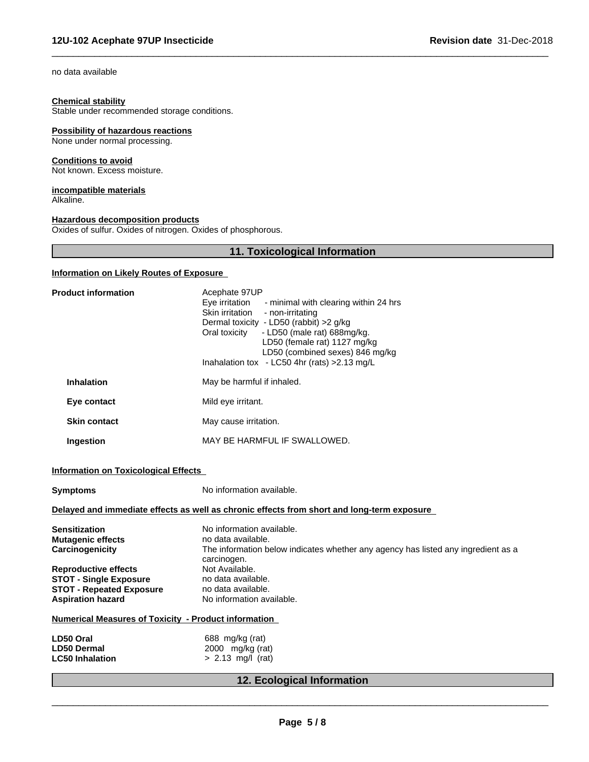no data available

#### **Chemical stability**

Stable under recommended storage conditions.

## **Possibility of hazardous reactions**

None under normal processing.

## **Conditions to avoid**

Not known. Excess moisture.

#### **incompatible materials** Alkaline.

#### **Hazardous decomposition products**

Oxides of sulfur. Oxides of nitrogen. Oxides of phosphorous.

# **11. Toxicological Information**

 $\overline{\phantom{a}}$  ,  $\overline{\phantom{a}}$  ,  $\overline{\phantom{a}}$  ,  $\overline{\phantom{a}}$  ,  $\overline{\phantom{a}}$  ,  $\overline{\phantom{a}}$  ,  $\overline{\phantom{a}}$  ,  $\overline{\phantom{a}}$  ,  $\overline{\phantom{a}}$  ,  $\overline{\phantom{a}}$  ,  $\overline{\phantom{a}}$  ,  $\overline{\phantom{a}}$  ,  $\overline{\phantom{a}}$  ,  $\overline{\phantom{a}}$  ,  $\overline{\phantom{a}}$  ,  $\overline{\phantom{a}}$ 

## **Information on Likely Routes of Exposure**

| <b>Product information</b>                                                                                                  | Acephate 97UP<br>Eye irritation<br>- minimal with clearing within 24 hrs<br>Skin irritation<br>- non-irritating<br>Dermal toxicity - LD50 (rabbit) >2 g/kg<br>- LD50 (male rat) 688mg/kg.<br>Oral toxicity<br>LD50 (female rat) 1127 mg/kg<br>LD50 (combined sexes) 846 mg/kg<br>Inahalation tox - LC50 4hr (rats) > 2.13 mg/L |  |  |  |
|-----------------------------------------------------------------------------------------------------------------------------|--------------------------------------------------------------------------------------------------------------------------------------------------------------------------------------------------------------------------------------------------------------------------------------------------------------------------------|--|--|--|
| <b>Inhalation</b>                                                                                                           | May be harmful if inhaled.                                                                                                                                                                                                                                                                                                     |  |  |  |
| Eye contact                                                                                                                 | Mild eye irritant.                                                                                                                                                                                                                                                                                                             |  |  |  |
| <b>Skin contact</b>                                                                                                         | May cause irritation.                                                                                                                                                                                                                                                                                                          |  |  |  |
| Ingestion                                                                                                                   | MAY BE HARMFUL IF SWALLOWED.                                                                                                                                                                                                                                                                                                   |  |  |  |
| <b>Information on Toxicological Effects</b><br>No information available.<br>Symptoms                                        |                                                                                                                                                                                                                                                                                                                                |  |  |  |
|                                                                                                                             | Delayed and immediate effects as well as chronic effects from short and long-term exposure                                                                                                                                                                                                                                     |  |  |  |
| Sensitization<br>Mutagenic effects<br>Carcinogenicity                                                                       | No information available.<br>no data available.<br>The information below indicates whether any agency has listed any ingredient as a<br>carcinogen.                                                                                                                                                                            |  |  |  |
| <b>Reproductive effects</b><br><b>STOT - Single Exposure</b><br><b>STOT - Repeated Exposure</b><br><b>Aspiration hazard</b> | Not Available.<br>no data available.<br>no data available.<br>No information available.                                                                                                                                                                                                                                        |  |  |  |
| <b>Numerical Measures of Toxicity - Product information</b>                                                                 |                                                                                                                                                                                                                                                                                                                                |  |  |  |
| LD50 Oral<br><b>LD50 Dermal</b><br><b>LC50 Inhalation</b>                                                                   | 688 mg/kg (rat)<br>2000 mg/kg (rat)<br>$> 2.13$ mg/l (rat)                                                                                                                                                                                                                                                                     |  |  |  |
|                                                                                                                             | 12. Ecological Information                                                                                                                                                                                                                                                                                                     |  |  |  |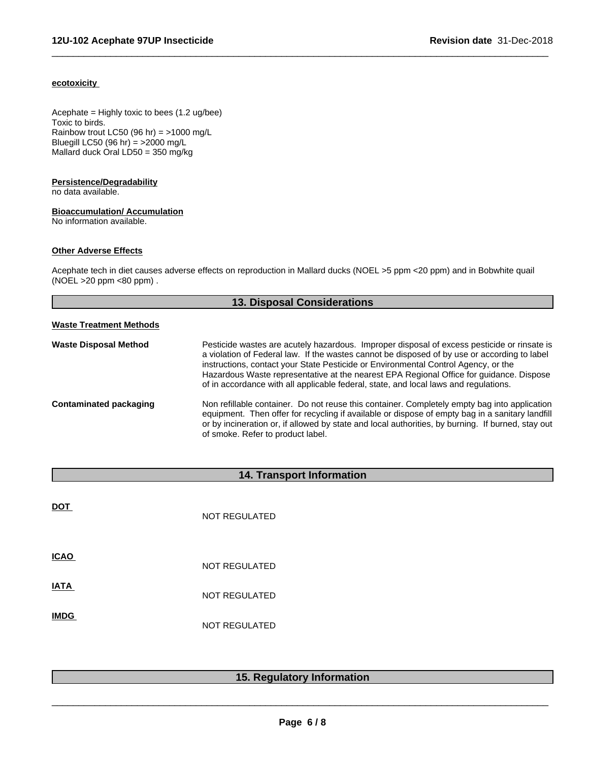## **ecotoxicity**

Acephate = Highly toxic to bees (1.2 ug/bee) Toxic to birds. Rainbow trout LC50 (96 hr) = >1000 mg/L Bluegill LC50 (96 hr) = >2000 mg/L Mallard duck Oral LD50 = 350 mg/kg

### **Persistence/Degradability**

no data available.

## **Bioaccumulation/ Accumulation**

No information available.

## **Other Adverse Effects**

Acephate tech in diet causes adverse effects on reproduction in Mallard ducks (NOEL >5 ppm <20 ppm) and in Bobwhite quail (NOEL >20 ppm <80 ppm) .

 $\overline{\phantom{a}}$  ,  $\overline{\phantom{a}}$  ,  $\overline{\phantom{a}}$  ,  $\overline{\phantom{a}}$  ,  $\overline{\phantom{a}}$  ,  $\overline{\phantom{a}}$  ,  $\overline{\phantom{a}}$  ,  $\overline{\phantom{a}}$  ,  $\overline{\phantom{a}}$  ,  $\overline{\phantom{a}}$  ,  $\overline{\phantom{a}}$  ,  $\overline{\phantom{a}}$  ,  $\overline{\phantom{a}}$  ,  $\overline{\phantom{a}}$  ,  $\overline{\phantom{a}}$  ,  $\overline{\phantom{a}}$ 

| <b>13. Disposal Considerations</b> |                                                                                                                                                                                                                                                                                                                                                                                                                                                                      |  |
|------------------------------------|----------------------------------------------------------------------------------------------------------------------------------------------------------------------------------------------------------------------------------------------------------------------------------------------------------------------------------------------------------------------------------------------------------------------------------------------------------------------|--|
| <b>Waste Treatment Methods</b>     |                                                                                                                                                                                                                                                                                                                                                                                                                                                                      |  |
| <b>Waste Disposal Method</b>       | Pesticide wastes are acutely hazardous. Improper disposal of excess pesticide or rinsate is<br>a violation of Federal law. If the wastes cannot be disposed of by use or according to label<br>instructions, contact your State Pesticide or Environmental Control Agency, or the<br>Hazardous Waste representative at the nearest EPA Regional Office for guidance. Dispose<br>of in accordance with all applicable federal, state, and local laws and regulations. |  |
| <b>Contaminated packaging</b>      | Non refillable container. Do not reuse this container. Completely empty bag into application<br>equipment. Then offer for recycling if available or dispose of empty bag in a sanitary landfill<br>or by incineration or, if allowed by state and local authorities, by burning. If burned, stay out<br>of smoke. Refer to product label.                                                                                                                            |  |

# **14. Transport Information**

| <b>DOT</b>  | <b>NOT REGULATED</b> |
|-------------|----------------------|
| <b>ICAO</b> | <b>NOT REGULATED</b> |
| <b>IATA</b> | <b>NOT REGULATED</b> |
| <b>IMDG</b> | <b>NOT REGULATED</b> |

# **15. Regulatory Information**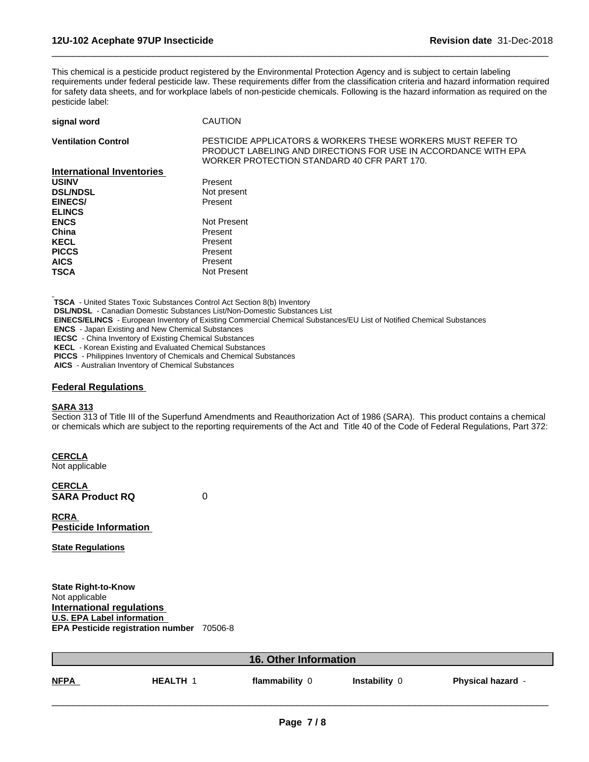This chemical is a pesticide product registered by the Environmental Protection Agency and is subject to certain labeling requirements under federal pesticide law. These requirements differ from the classification criteria and hazard information required for safety data sheets, and for workplace labels of non-pesticide chemicals. Following is the hazard information as required on the pesticide label:

 $\overline{\phantom{a}}$  ,  $\overline{\phantom{a}}$  ,  $\overline{\phantom{a}}$  ,  $\overline{\phantom{a}}$  ,  $\overline{\phantom{a}}$  ,  $\overline{\phantom{a}}$  ,  $\overline{\phantom{a}}$  ,  $\overline{\phantom{a}}$  ,  $\overline{\phantom{a}}$  ,  $\overline{\phantom{a}}$  ,  $\overline{\phantom{a}}$  ,  $\overline{\phantom{a}}$  ,  $\overline{\phantom{a}}$  ,  $\overline{\phantom{a}}$  ,  $\overline{\phantom{a}}$  ,  $\overline{\phantom{a}}$ 

| signal word                      | <b>CAUTION</b>                                                                                                                                                               |
|----------------------------------|------------------------------------------------------------------------------------------------------------------------------------------------------------------------------|
| <b>Ventilation Control</b>       | PESTICIDE APPLICATORS & WORKERS THESE WORKERS MUST REFER TO<br>PRODUCT LABELING AND DIRECTIONS FOR USE IN ACCORDANCE WITH EPA<br>WORKER PROTECTION STANDARD 40 CFR PART 170. |
| <b>International Inventories</b> |                                                                                                                                                                              |
| <b>USINV</b>                     | Present                                                                                                                                                                      |
| <b>DSL/NDSL</b>                  | Not present                                                                                                                                                                  |
| <b>EINECS/</b>                   | Present                                                                                                                                                                      |
| <b>ELINCS</b>                    |                                                                                                                                                                              |
| <b>ENCS</b>                      | Not Present                                                                                                                                                                  |
| China                            | Present                                                                                                                                                                      |
| <b>KECL</b>                      | Present                                                                                                                                                                      |
| <b>PICCS</b>                     | Present                                                                                                                                                                      |
| <b>AICS</b>                      | Present                                                                                                                                                                      |
| <b>TSCA</b>                      | Not Present                                                                                                                                                                  |

 **TSCA** - United States Toxic Substances Control Act Section 8(b) Inventory

 **DSL/NDSL** - Canadian Domestic Substances List/Non-Domestic Substances List

 **EINECS/ELINCS** - European Inventory of Existing Commercial Chemical Substances/EU List of Notified Chemical Substances

 **ENCS** - Japan Existing and New Chemical Substances

 **IECSC** - China Inventory of Existing Chemical Substances

 **KECL** - Korean Existing and Evaluated Chemical Substances

 **PICCS** - Philippines Inventory of Chemicals and Chemical Substances

 **AICS** - Australian Inventory of Chemical Substances

## **Federal Regulations**

## **SARA 313**

Section 313 of Title III of the Superfund Amendments and Reauthorization Act of 1986 (SARA). This product contains a chemical or chemicals which are subject to the reporting requirements of the Act and Title 40 of the Code of Federal Regulations, Part 372:

**CERCLA**

Not applicable

**CERCLA SARA Product RQ** 0

**RCRA Pesticide Information**

**State Regulations**

**State Right-to-Know** Not applicable **International regulations U.S. EPA Label information EPA Pesticide registration number** 70506-8

|             |                 | <b>16. Other Information</b> |               |                          |
|-------------|-----------------|------------------------------|---------------|--------------------------|
| <b>NFPA</b> | <b>HEALTH 1</b> | flammability 0               | Instability 0 | <b>Physical hazard -</b> |
|             |                 |                              |               |                          |